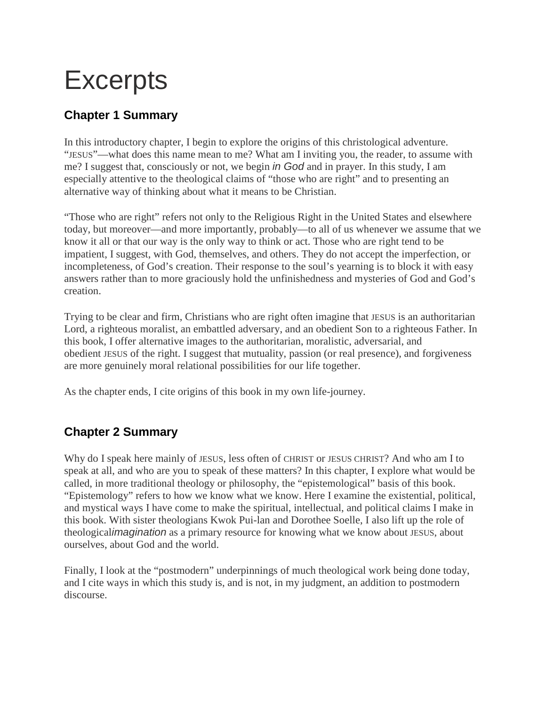# **Excerpts**

# **Chapter 1 Summary**

In this introductory chapter, I begin to explore the origins of this christological adventure. "JESUS"—what does this name mean to me? What am I inviting you, the reader, to assume with me? I suggest that, consciously or not, we begin *in God* and in prayer. In this study, I am especially attentive to the theological claims of "those who are right" and to presenting an alternative way of thinking about what it means to be Christian.

"Those who are right" refers not only to the Religious Right in the United States and elsewhere today, but moreover—and more importantly, probably—to all of us whenever we assume that we know it all or that our way is the only way to think or act. Those who are right tend to be impatient, I suggest, with God, themselves, and others. They do not accept the imperfection, or incompleteness, of God's creation. Their response to the soul's yearning is to block it with easy answers rather than to more graciously hold the unfinishedness and mysteries of God and God's creation.

Trying to be clear and firm, Christians who are right often imagine that JESUS is an authoritarian Lord, a righteous moralist, an embattled adversary, and an obedient Son to a righteous Father. In this book, I offer alternative images to the authoritarian, moralistic, adversarial, and obedient JESUS of the right. I suggest that mutuality, passion (or real presence), and forgiveness are more genuinely moral relational possibilities for our life together.

As the chapter ends, I cite origins of this book in my own life-journey.

# **Chapter 2 Summary**

Why do I speak here mainly of JESUS, less often of CHRIST or JESUS CHRIST? And who am I to speak at all, and who are you to speak of these matters? In this chapter, I explore what would be called, in more traditional theology or philosophy, the "epistemological" basis of this book. "Epistemology" refers to how we know what we know. Here I examine the existential, political, and mystical ways I have come to make the spiritual, intellectual, and political claims I make in this book. With sister theologians Kwok Pui-lan and Dorothee Soelle, I also lift up the role of theological*imagination* as a primary resource for knowing what we know about JESUS, about ourselves, about God and the world.

Finally, I look at the "postmodern" underpinnings of much theological work being done today, and I cite ways in which this study is, and is not, in my judgment, an addition to postmodern discourse.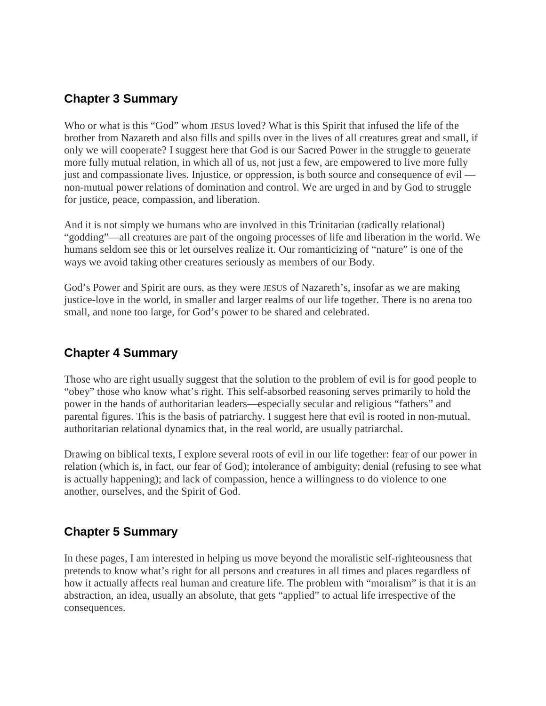#### **Chapter 3 Summary**

Who or what is this "God" whom JESUS loved? What is this Spirit that infused the life of the brother from Nazareth and also fills and spills over in the lives of all creatures great and small, if only we will cooperate? I suggest here that God is our Sacred Power in the struggle to generate more fully mutual relation, in which all of us, not just a few, are empowered to live more fully just and compassionate lives. Injustice, or oppression, is both source and consequence of evil non-mutual power relations of domination and control. We are urged in and by God to struggle for justice, peace, compassion, and liberation.

And it is not simply we humans who are involved in this Trinitarian (radically relational) "godding"—all creatures are part of the ongoing processes of life and liberation in the world. We humans seldom see this or let ourselves realize it. Our romanticizing of "nature" is one of the ways we avoid taking other creatures seriously as members of our Body.

God's Power and Spirit are ours, as they were JESUS of Nazareth's, insofar as we are making justice-love in the world, in smaller and larger realms of our life together. There is no arena too small, and none too large, for God's power to be shared and celebrated.

#### **Chapter 4 Summary**

Those who are right usually suggest that the solution to the problem of evil is for good people to "obey" those who know what's right. This self-absorbed reasoning serves primarily to hold the power in the hands of authoritarian leaders—especially secular and religious "fathers" and parental figures. This is the basis of patriarchy. I suggest here that evil is rooted in non-mutual, authoritarian relational dynamics that, in the real world, are usually patriarchal.

Drawing on biblical texts, I explore several roots of evil in our life together: fear of our power in relation (which is, in fact, our fear of God); intolerance of ambiguity; denial (refusing to see what is actually happening); and lack of compassion, hence a willingness to do violence to one another, ourselves, and the Spirit of God.

#### **Chapter 5 Summary**

In these pages, I am interested in helping us move beyond the moralistic self-righteousness that pretends to know what's right for all persons and creatures in all times and places regardless of how it actually affects real human and creature life. The problem with "moralism" is that it is an abstraction, an idea, usually an absolute, that gets "applied" to actual life irrespective of the consequences.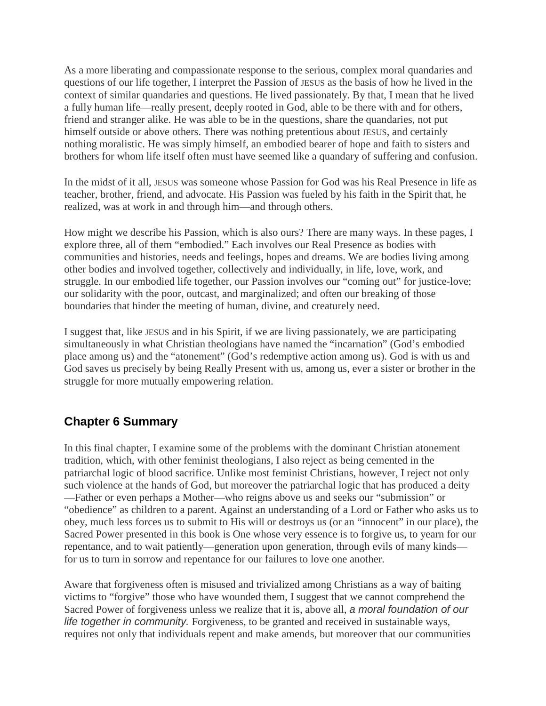As a more liberating and compassionate response to the serious, complex moral quandaries and questions of our life together, I interpret the Passion of JESUS as the basis of how he lived in the context of similar quandaries and questions. He lived passionately. By that, I mean that he lived a fully human life—really present, deeply rooted in God, able to be there with and for others, friend and stranger alike. He was able to be in the questions, share the quandaries, not put himself outside or above others. There was nothing pretentious about JESUS, and certainly nothing moralistic. He was simply himself, an embodied bearer of hope and faith to sisters and brothers for whom life itself often must have seemed like a quandary of suffering and confusion.

In the midst of it all, JESUS was someone whose Passion for God was his Real Presence in life as teacher, brother, friend, and advocate. His Passion was fueled by his faith in the Spirit that, he realized, was at work in and through him—and through others.

How might we describe his Passion, which is also ours? There are many ways. In these pages, I explore three, all of them "embodied." Each involves our Real Presence as bodies with communities and histories, needs and feelings, hopes and dreams. We are bodies living among other bodies and involved together, collectively and individually, in life, love, work, and struggle. In our embodied life together, our Passion involves our "coming out" for justice-love; our solidarity with the poor, outcast, and marginalized; and often our breaking of those boundaries that hinder the meeting of human, divine, and creaturely need.

I suggest that, like JESUS and in his Spirit, if we are living passionately, we are participating simultaneously in what Christian theologians have named the "incarnation" (God's embodied place among us) and the "atonement" (God's redemptive action among us). God is with us and God saves us precisely by being Really Present with us, among us, ever a sister or brother in the struggle for more mutually empowering relation.

# **Chapter 6 Summary**

In this final chapter, I examine some of the problems with the dominant Christian atonement tradition, which, with other feminist theologians, I also reject as being cemented in the patriarchal logic of blood sacrifice. Unlike most feminist Christians, however, I reject not only such violence at the hands of God, but moreover the patriarchal logic that has produced a deity —Father or even perhaps a Mother—who reigns above us and seeks our "submission" or "obedience" as children to a parent. Against an understanding of a Lord or Father who asks us to obey, much less forces us to submit to His will or destroys us (or an "innocent" in our place), the Sacred Power presented in this book is One whose very essence is to forgive us, to yearn for our repentance, and to wait patiently—generation upon generation, through evils of many kinds for us to turn in sorrow and repentance for our failures to love one another.

Aware that forgiveness often is misused and trivialized among Christians as a way of baiting victims to "forgive" those who have wounded them, I suggest that we cannot comprehend the Sacred Power of forgiveness unless we realize that it is, above all, *a moral foundation of our life together in community.* Forgiveness, to be granted and received in sustainable ways, requires not only that individuals repent and make amends, but moreover that our communities